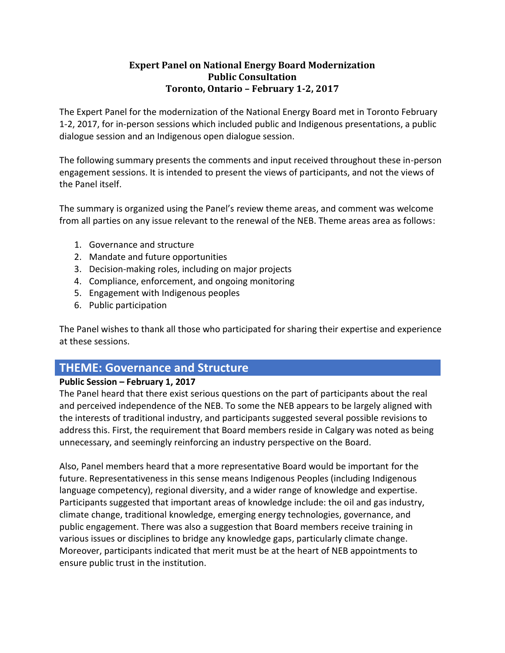### **Expert Panel on National Energy Board Modernization Public Consultation Toronto, Ontario – February 1-2, 2017**

The Expert Panel for the modernization of the National Energy Board met in Toronto February 1-2, 2017, for in-person sessions which included public and Indigenous presentations, a public dialogue session and an Indigenous open dialogue session.

The following summary presents the comments and input received throughout these in-person engagement sessions. It is intended to present the views of participants, and not the views of the Panel itself.

The summary is organized using the Panel's review theme areas, and comment was welcome from all parties on any issue relevant to the renewal of the NEB. Theme areas area as follows:

- 1. Governance and structure
- 2. Mandate and future opportunities
- 3. Decision-making roles, including on major projects
- 4. Compliance, enforcement, and ongoing monitoring
- 5. Engagement with Indigenous peoples
- 6. Public participation

The Panel wishes to thank all those who participated for sharing their expertise and experience at these sessions.

# **THEME: Governance and Structure**

### **Public Session – February 1, 2017**

The Panel heard that there exist serious questions on the part of participants about the real and perceived independence of the NEB. To some the NEB appears to be largely aligned with the interests of traditional industry, and participants suggested several possible revisions to address this. First, the requirement that Board members reside in Calgary was noted as being unnecessary, and seemingly reinforcing an industry perspective on the Board.

Also, Panel members heard that a more representative Board would be important for the future. Representativeness in this sense means Indigenous Peoples (including Indigenous language competency), regional diversity, and a wider range of knowledge and expertise. Participants suggested that important areas of knowledge include: the oil and gas industry, climate change, traditional knowledge, emerging energy technologies, governance, and public engagement. There was also a suggestion that Board members receive training in various issues or disciplines to bridge any knowledge gaps, particularly climate change. Moreover, participants indicated that merit must be at the heart of NEB appointments to ensure public trust in the institution.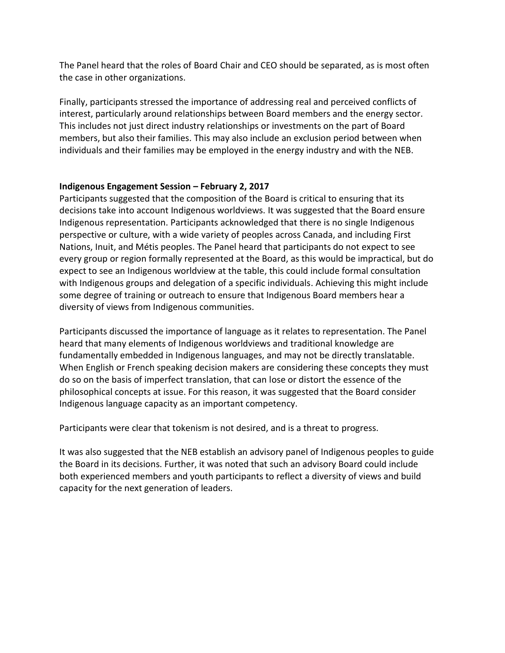The Panel heard that the roles of Board Chair and CEO should be separated, as is most often the case in other organizations.

Finally, participants stressed the importance of addressing real and perceived conflicts of interest, particularly around relationships between Board members and the energy sector. This includes not just direct industry relationships or investments on the part of Board members, but also their families. This may also include an exclusion period between when individuals and their families may be employed in the energy industry and with the NEB.

#### **Indigenous Engagement Session – February 2, 2017**

Participants suggested that the composition of the Board is critical to ensuring that its decisions take into account Indigenous worldviews. It was suggested that the Board ensure Indigenous representation. Participants acknowledged that there is no single Indigenous perspective or culture, with a wide variety of peoples across Canada, and including First Nations, Inuit, and Métis peoples. The Panel heard that participants do not expect to see every group or region formally represented at the Board, as this would be impractical, but do expect to see an Indigenous worldview at the table, this could include formal consultation with Indigenous groups and delegation of a specific individuals. Achieving this might include some degree of training or outreach to ensure that Indigenous Board members hear a diversity of views from Indigenous communities.

Participants discussed the importance of language as it relates to representation. The Panel heard that many elements of Indigenous worldviews and traditional knowledge are fundamentally embedded in Indigenous languages, and may not be directly translatable. When English or French speaking decision makers are considering these concepts they must do so on the basis of imperfect translation, that can lose or distort the essence of the philosophical concepts at issue. For this reason, it was suggested that the Board consider Indigenous language capacity as an important competency.

Participants were clear that tokenism is not desired, and is a threat to progress.

It was also suggested that the NEB establish an advisory panel of Indigenous peoples to guide the Board in its decisions. Further, it was noted that such an advisory Board could include both experienced members and youth participants to reflect a diversity of views and build capacity for the next generation of leaders.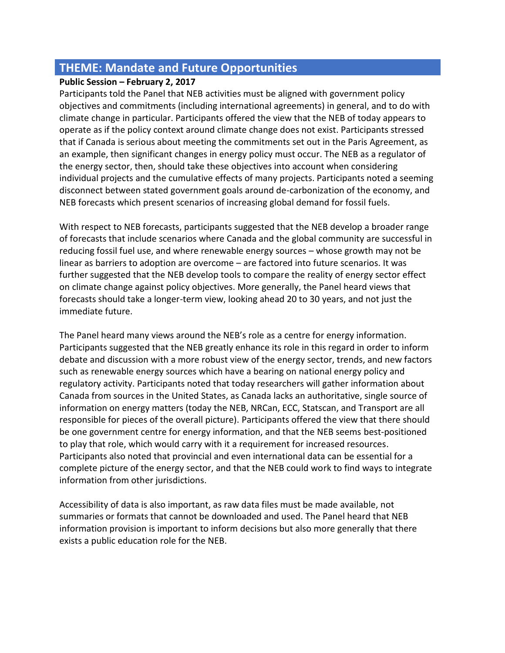# **THEME: Mandate and Future Opportunities**

### **Public Session – February 2, 2017**

Participants told the Panel that NEB activities must be aligned with government policy objectives and commitments (including international agreements) in general, and to do with climate change in particular. Participants offered the view that the NEB of today appears to operate as if the policy context around climate change does not exist. Participants stressed that if Canada is serious about meeting the commitments set out in the Paris Agreement, as an example, then significant changes in energy policy must occur. The NEB as a regulator of the energy sector, then, should take these objectives into account when considering individual projects and the cumulative effects of many projects. Participants noted a seeming disconnect between stated government goals around de-carbonization of the economy, and NEB forecasts which present scenarios of increasing global demand for fossil fuels.

With respect to NEB forecasts, participants suggested that the NEB develop a broader range of forecasts that include scenarios where Canada and the global community are successful in reducing fossil fuel use, and where renewable energy sources – whose growth may not be linear as barriers to adoption are overcome – are factored into future scenarios. It was further suggested that the NEB develop tools to compare the reality of energy sector effect on climate change against policy objectives. More generally, the Panel heard views that forecasts should take a longer-term view, looking ahead 20 to 30 years, and not just the immediate future.

The Panel heard many views around the NEB's role as a centre for energy information. Participants suggested that the NEB greatly enhance its role in this regard in order to inform debate and discussion with a more robust view of the energy sector, trends, and new factors such as renewable energy sources which have a bearing on national energy policy and regulatory activity. Participants noted that today researchers will gather information about Canada from sources in the United States, as Canada lacks an authoritative, single source of information on energy matters (today the NEB, NRCan, ECC, Statscan, and Transport are all responsible for pieces of the overall picture). Participants offered the view that there should be one government centre for energy information, and that the NEB seems best-positioned to play that role, which would carry with it a requirement for increased resources. Participants also noted that provincial and even international data can be essential for a complete picture of the energy sector, and that the NEB could work to find ways to integrate information from other jurisdictions.

Accessibility of data is also important, as raw data files must be made available, not summaries or formats that cannot be downloaded and used. The Panel heard that NEB information provision is important to inform decisions but also more generally that there exists a public education role for the NEB.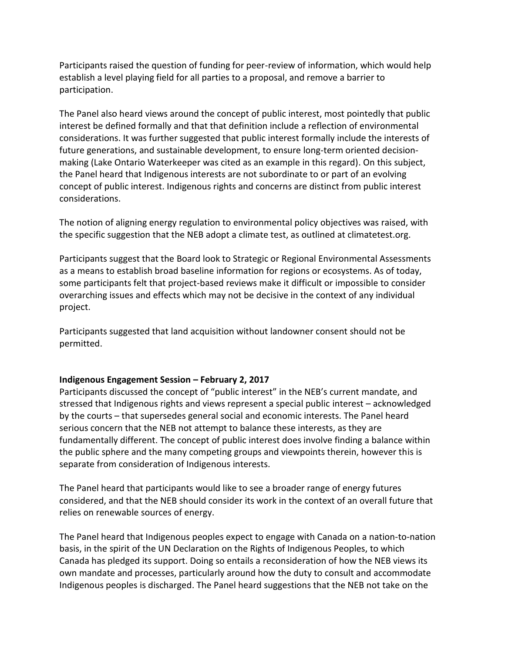Participants raised the question of funding for peer-review of information, which would help establish a level playing field for all parties to a proposal, and remove a barrier to participation.

The Panel also heard views around the concept of public interest, most pointedly that public interest be defined formally and that that definition include a reflection of environmental considerations. It was further suggested that public interest formally include the interests of future generations, and sustainable development, to ensure long-term oriented decisionmaking (Lake Ontario Waterkeeper was cited as an example in this regard). On this subject, the Panel heard that Indigenous interests are not subordinate to or part of an evolving concept of public interest. Indigenous rights and concerns are distinct from public interest considerations.

The notion of aligning energy regulation to environmental policy objectives was raised, with the specific suggestion that the NEB adopt a climate test, as outlined at climatetest.org.

Participants suggest that the Board look to Strategic or Regional Environmental Assessments as a means to establish broad baseline information for regions or ecosystems. As of today, some participants felt that project-based reviews make it difficult or impossible to consider overarching issues and effects which may not be decisive in the context of any individual project.

Participants suggested that land acquisition without landowner consent should not be permitted.

### **Indigenous Engagement Session – February 2, 2017**

Participants discussed the concept of "public interest" in the NEB's current mandate, and stressed that Indigenous rights and views represent a special public interest – acknowledged by the courts – that supersedes general social and economic interests. The Panel heard serious concern that the NEB not attempt to balance these interests, as they are fundamentally different. The concept of public interest does involve finding a balance within the public sphere and the many competing groups and viewpoints therein, however this is separate from consideration of Indigenous interests.

The Panel heard that participants would like to see a broader range of energy futures considered, and that the NEB should consider its work in the context of an overall future that relies on renewable sources of energy.

The Panel heard that Indigenous peoples expect to engage with Canada on a nation-to-nation basis, in the spirit of the UN Declaration on the Rights of Indigenous Peoples, to which Canada has pledged its support. Doing so entails a reconsideration of how the NEB views its own mandate and processes, particularly around how the duty to consult and accommodate Indigenous peoples is discharged. The Panel heard suggestions that the NEB not take on the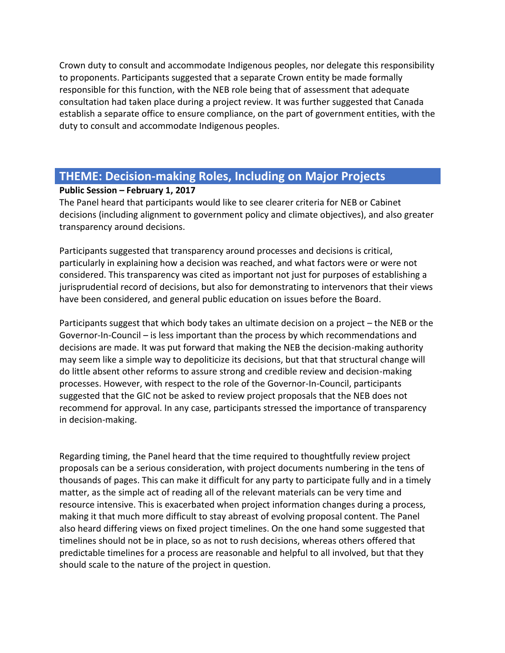Crown duty to consult and accommodate Indigenous peoples, nor delegate this responsibility to proponents. Participants suggested that a separate Crown entity be made formally responsible for this function, with the NEB role being that of assessment that adequate consultation had taken place during a project review. It was further suggested that Canada establish a separate office to ensure compliance, on the part of government entities, with the duty to consult and accommodate Indigenous peoples.

# **THEME: Decision-making Roles, Including on Major Projects**

#### **Public Session – February 1, 2017**

The Panel heard that participants would like to see clearer criteria for NEB or Cabinet decisions (including alignment to government policy and climate objectives), and also greater transparency around decisions.

Participants suggested that transparency around processes and decisions is critical, particularly in explaining how a decision was reached, and what factors were or were not considered. This transparency was cited as important not just for purposes of establishing a jurisprudential record of decisions, but also for demonstrating to intervenors that their views have been considered, and general public education on issues before the Board.

Participants suggest that which body takes an ultimate decision on a project – the NEB or the Governor-In-Council – is less important than the process by which recommendations and decisions are made. It was put forward that making the NEB the decision-making authority may seem like a simple way to depoliticize its decisions, but that that structural change will do little absent other reforms to assure strong and credible review and decision-making processes. However, with respect to the role of the Governor-In-Council, participants suggested that the GIC not be asked to review project proposals that the NEB does not recommend for approval. In any case, participants stressed the importance of transparency in decision-making.

Regarding timing, the Panel heard that the time required to thoughtfully review project proposals can be a serious consideration, with project documents numbering in the tens of thousands of pages. This can make it difficult for any party to participate fully and in a timely matter, as the simple act of reading all of the relevant materials can be very time and resource intensive. This is exacerbated when project information changes during a process, making it that much more difficult to stay abreast of evolving proposal content. The Panel also heard differing views on fixed project timelines. On the one hand some suggested that timelines should not be in place, so as not to rush decisions, whereas others offered that predictable timelines for a process are reasonable and helpful to all involved, but that they should scale to the nature of the project in question.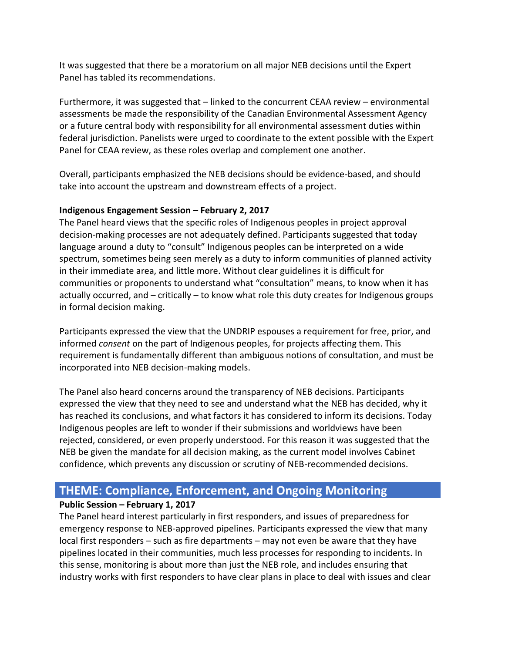It was suggested that there be a moratorium on all major NEB decisions until the Expert Panel has tabled its recommendations.

Furthermore, it was suggested that – linked to the concurrent CEAA review – environmental assessments be made the responsibility of the Canadian Environmental Assessment Agency or a future central body with responsibility for all environmental assessment duties within federal jurisdiction. Panelists were urged to coordinate to the extent possible with the Expert Panel for CEAA review, as these roles overlap and complement one another.

Overall, participants emphasized the NEB decisions should be evidence-based, and should take into account the upstream and downstream effects of a project.

#### **Indigenous Engagement Session – February 2, 2017**

The Panel heard views that the specific roles of Indigenous peoples in project approval decision-making processes are not adequately defined. Participants suggested that today language around a duty to "consult" Indigenous peoples can be interpreted on a wide spectrum, sometimes being seen merely as a duty to inform communities of planned activity in their immediate area, and little more. Without clear guidelines it is difficult for communities or proponents to understand what "consultation" means, to know when it has actually occurred, and – critically – to know what role this duty creates for Indigenous groups in formal decision making.

Participants expressed the view that the UNDRIP espouses a requirement for free, prior, and informed *consent* on the part of Indigenous peoples, for projects affecting them. This requirement is fundamentally different than ambiguous notions of consultation, and must be incorporated into NEB decision-making models.

The Panel also heard concerns around the transparency of NEB decisions. Participants expressed the view that they need to see and understand what the NEB has decided, why it has reached its conclusions, and what factors it has considered to inform its decisions. Today Indigenous peoples are left to wonder if their submissions and worldviews have been rejected, considered, or even properly understood. For this reason it was suggested that the NEB be given the mandate for all decision making, as the current model involves Cabinet confidence, which prevents any discussion or scrutiny of NEB-recommended decisions.

# **THEME: Compliance, Enforcement, and Ongoing Monitoring**

### **Public Session – February 1, 2017**

The Panel heard interest particularly in first responders, and issues of preparedness for emergency response to NEB-approved pipelines. Participants expressed the view that many local first responders – such as fire departments – may not even be aware that they have pipelines located in their communities, much less processes for responding to incidents. In this sense, monitoring is about more than just the NEB role, and includes ensuring that industry works with first responders to have clear plans in place to deal with issues and clear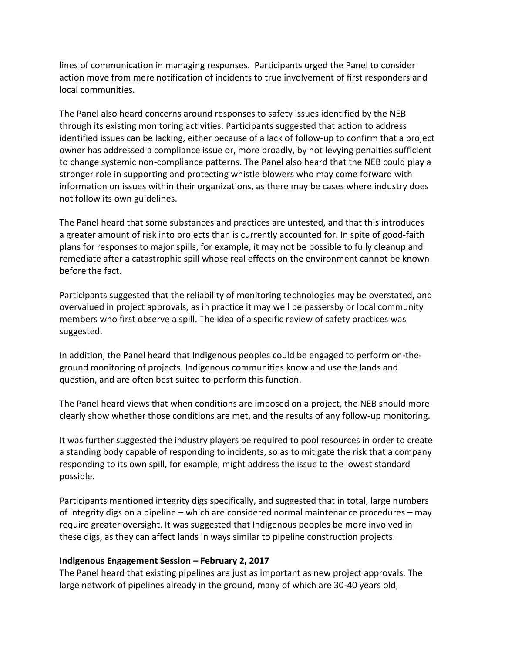lines of communication in managing responses. Participants urged the Panel to consider action move from mere notification of incidents to true involvement of first responders and local communities.

The Panel also heard concerns around responses to safety issues identified by the NEB through its existing monitoring activities. Participants suggested that action to address identified issues can be lacking, either because of a lack of follow-up to confirm that a project owner has addressed a compliance issue or, more broadly, by not levying penalties sufficient to change systemic non-compliance patterns. The Panel also heard that the NEB could play a stronger role in supporting and protecting whistle blowers who may come forward with information on issues within their organizations, as there may be cases where industry does not follow its own guidelines.

The Panel heard that some substances and practices are untested, and that this introduces a greater amount of risk into projects than is currently accounted for. In spite of good-faith plans for responses to major spills, for example, it may not be possible to fully cleanup and remediate after a catastrophic spill whose real effects on the environment cannot be known before the fact.

Participants suggested that the reliability of monitoring technologies may be overstated, and overvalued in project approvals, as in practice it may well be passersby or local community members who first observe a spill. The idea of a specific review of safety practices was suggested.

In addition, the Panel heard that Indigenous peoples could be engaged to perform on-theground monitoring of projects. Indigenous communities know and use the lands and question, and are often best suited to perform this function.

The Panel heard views that when conditions are imposed on a project, the NEB should more clearly show whether those conditions are met, and the results of any follow-up monitoring.

It was further suggested the industry players be required to pool resources in order to create a standing body capable of responding to incidents, so as to mitigate the risk that a company responding to its own spill, for example, might address the issue to the lowest standard possible.

Participants mentioned integrity digs specifically, and suggested that in total, large numbers of integrity digs on a pipeline – which are considered normal maintenance procedures – may require greater oversight. It was suggested that Indigenous peoples be more involved in these digs, as they can affect lands in ways similar to pipeline construction projects.

#### **Indigenous Engagement Session – February 2, 2017**

The Panel heard that existing pipelines are just as important as new project approvals. The large network of pipelines already in the ground, many of which are 30-40 years old,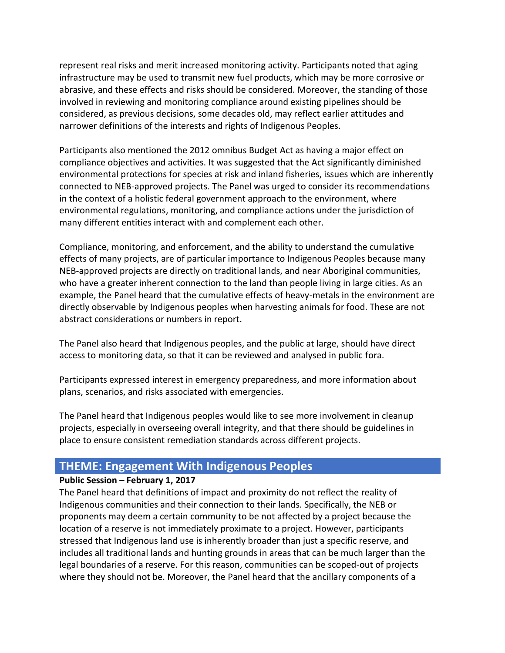represent real risks and merit increased monitoring activity. Participants noted that aging infrastructure may be used to transmit new fuel products, which may be more corrosive or abrasive, and these effects and risks should be considered. Moreover, the standing of those involved in reviewing and monitoring compliance around existing pipelines should be considered, as previous decisions, some decades old, may reflect earlier attitudes and narrower definitions of the interests and rights of Indigenous Peoples.

Participants also mentioned the 2012 omnibus Budget Act as having a major effect on compliance objectives and activities. It was suggested that the Act significantly diminished environmental protections for species at risk and inland fisheries, issues which are inherently connected to NEB-approved projects. The Panel was urged to consider its recommendations in the context of a holistic federal government approach to the environment, where environmental regulations, monitoring, and compliance actions under the jurisdiction of many different entities interact with and complement each other.

Compliance, monitoring, and enforcement, and the ability to understand the cumulative effects of many projects, are of particular importance to Indigenous Peoples because many NEB-approved projects are directly on traditional lands, and near Aboriginal communities, who have a greater inherent connection to the land than people living in large cities. As an example, the Panel heard that the cumulative effects of heavy-metals in the environment are directly observable by Indigenous peoples when harvesting animals for food. These are not abstract considerations or numbers in report.

The Panel also heard that Indigenous peoples, and the public at large, should have direct access to monitoring data, so that it can be reviewed and analysed in public fora.

Participants expressed interest in emergency preparedness, and more information about plans, scenarios, and risks associated with emergencies.

The Panel heard that Indigenous peoples would like to see more involvement in cleanup projects, especially in overseeing overall integrity, and that there should be guidelines in place to ensure consistent remediation standards across different projects.

# **THEME: Engagement With Indigenous Peoples**

### **Public Session – February 1, 2017**

The Panel heard that definitions of impact and proximity do not reflect the reality of Indigenous communities and their connection to their lands. Specifically, the NEB or proponents may deem a certain community to be not affected by a project because the location of a reserve is not immediately proximate to a project. However, participants stressed that Indigenous land use is inherently broader than just a specific reserve, and includes all traditional lands and hunting grounds in areas that can be much larger than the legal boundaries of a reserve. For this reason, communities can be scoped-out of projects where they should not be. Moreover, the Panel heard that the ancillary components of a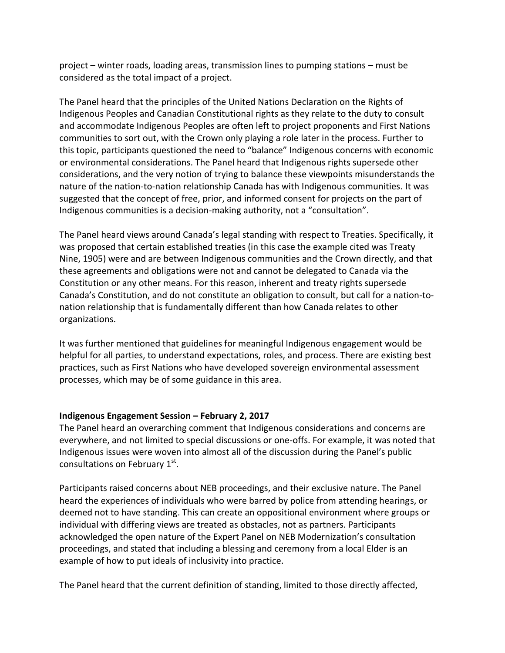project – winter roads, loading areas, transmission lines to pumping stations – must be considered as the total impact of a project.

The Panel heard that the principles of the United Nations Declaration on the Rights of Indigenous Peoples and Canadian Constitutional rights as they relate to the duty to consult and accommodate Indigenous Peoples are often left to project proponents and First Nations communities to sort out, with the Crown only playing a role later in the process. Further to this topic, participants questioned the need to "balance" Indigenous concerns with economic or environmental considerations. The Panel heard that Indigenous rights supersede other considerations, and the very notion of trying to balance these viewpoints misunderstands the nature of the nation-to-nation relationship Canada has with Indigenous communities. It was suggested that the concept of free, prior, and informed consent for projects on the part of Indigenous communities is a decision-making authority, not a "consultation".

The Panel heard views around Canada's legal standing with respect to Treaties. Specifically, it was proposed that certain established treaties (in this case the example cited was Treaty Nine, 1905) were and are between Indigenous communities and the Crown directly, and that these agreements and obligations were not and cannot be delegated to Canada via the Constitution or any other means. For this reason, inherent and treaty rights supersede Canada's Constitution, and do not constitute an obligation to consult, but call for a nation-tonation relationship that is fundamentally different than how Canada relates to other organizations.

It was further mentioned that guidelines for meaningful Indigenous engagement would be helpful for all parties, to understand expectations, roles, and process. There are existing best practices, such as First Nations who have developed sovereign environmental assessment processes, which may be of some guidance in this area.

#### **Indigenous Engagement Session – February 2, 2017**

The Panel heard an overarching comment that Indigenous considerations and concerns are everywhere, and not limited to special discussions or one-offs. For example, it was noted that Indigenous issues were woven into almost all of the discussion during the Panel's public consultations on February  $1^\text{st}$ .

Participants raised concerns about NEB proceedings, and their exclusive nature. The Panel heard the experiences of individuals who were barred by police from attending hearings, or deemed not to have standing. This can create an oppositional environment where groups or individual with differing views are treated as obstacles, not as partners. Participants acknowledged the open nature of the Expert Panel on NEB Modernization's consultation proceedings, and stated that including a blessing and ceremony from a local Elder is an example of how to put ideals of inclusivity into practice.

The Panel heard that the current definition of standing, limited to those directly affected,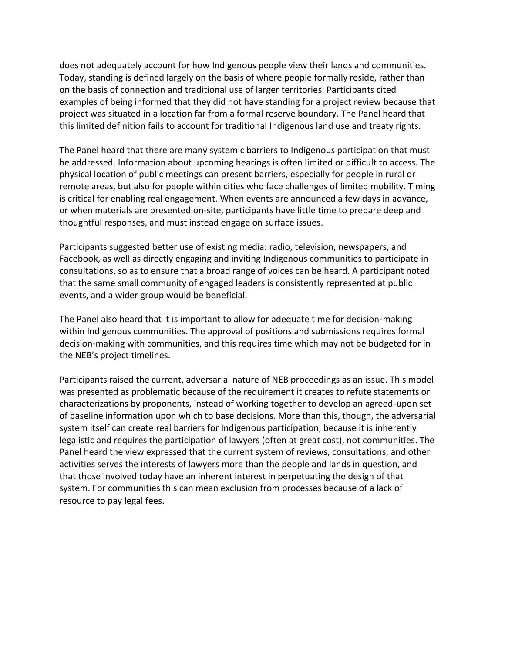does not adequately account for how Indigenous people view their lands and communities. Today, standing is defined largely on the basis of where people formally reside, rather than on the basis of connection and traditional use of larger territories. Participants cited examples of being informed that they did not have standing for a project review because that project was situated in a location far from a formal reserve boundary. The Panel heard that this limited definition fails to account for traditional Indigenous land use and treaty rights.

The Panel heard that there are many systemic barriers to Indigenous participation that must be addressed. Information about upcoming hearings is often limited or difficult to access. The physical location of public meetings can present barriers, especially for people in rural or remote areas, but also for people within cities who face challenges of limited mobility. Timing is critical for enabling real engagement. When events are announced a few days in advance, or when materials are presented on-site, participants have little time to prepare deep and thoughtful responses, and must instead engage on surface issues.

Participants suggested better use of existing media: radio, television, newspapers, and Facebook, as well as directly engaging and inviting Indigenous communities to participate in consultations, so as to ensure that a broad range of voices can be heard. A participant noted that the same small community of engaged leaders is consistently represented at public events, and a wider group would be beneficial.

The Panel also heard that it is important to allow for adequate time for decision-making within Indigenous communities. The approval of positions and submissions requires formal decision-making with communities, and this requires time which may not be budgeted for in the NEB's project timelines.

Participants raised the current, adversarial nature of NEB proceedings as an issue. This model was presented as problematic because of the requirement it creates to refute statements or characterizations by proponents, instead of working together to develop an agreed-upon set of baseline information upon which to base decisions. More than this, though, the adversarial system itself can create real barriers for Indigenous participation, because it is inherently legalistic and requires the participation of lawyers (often at great cost), not communities. The Panel heard the view expressed that the current system of reviews, consultations, and other activities serves the interests of lawyers more than the people and lands in question, and that those involved today have an inherent interest in perpetuating the design of that system. For communities this can mean exclusion from processes because of a lack of resource to pay legal fees.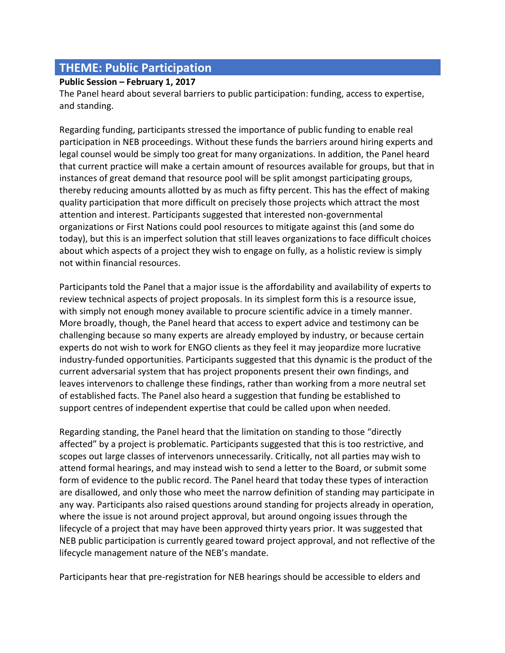# **THEME: Public Participation**

#### **Public Session – February 1, 2017**

The Panel heard about several barriers to public participation: funding, access to expertise, and standing.

Regarding funding, participants stressed the importance of public funding to enable real participation in NEB proceedings. Without these funds the barriers around hiring experts and legal counsel would be simply too great for many organizations. In addition, the Panel heard that current practice will make a certain amount of resources available for groups, but that in instances of great demand that resource pool will be split amongst participating groups, thereby reducing amounts allotted by as much as fifty percent. This has the effect of making quality participation that more difficult on precisely those projects which attract the most attention and interest. Participants suggested that interested non-governmental organizations or First Nations could pool resources to mitigate against this (and some do today), but this is an imperfect solution that still leaves organizations to face difficult choices about which aspects of a project they wish to engage on fully, as a holistic review is simply not within financial resources.

Participants told the Panel that a major issue is the affordability and availability of experts to review technical aspects of project proposals. In its simplest form this is a resource issue, with simply not enough money available to procure scientific advice in a timely manner. More broadly, though, the Panel heard that access to expert advice and testimony can be challenging because so many experts are already employed by industry, or because certain experts do not wish to work for ENGO clients as they feel it may jeopardize more lucrative industry-funded opportunities. Participants suggested that this dynamic is the product of the current adversarial system that has project proponents present their own findings, and leaves intervenors to challenge these findings, rather than working from a more neutral set of established facts. The Panel also heard a suggestion that funding be established to support centres of independent expertise that could be called upon when needed.

Regarding standing, the Panel heard that the limitation on standing to those "directly affected" by a project is problematic. Participants suggested that this is too restrictive, and scopes out large classes of intervenors unnecessarily. Critically, not all parties may wish to attend formal hearings, and may instead wish to send a letter to the Board, or submit some form of evidence to the public record. The Panel heard that today these types of interaction are disallowed, and only those who meet the narrow definition of standing may participate in any way. Participants also raised questions around standing for projects already in operation, where the issue is not around project approval, but around ongoing issues through the lifecycle of a project that may have been approved thirty years prior. It was suggested that NEB public participation is currently geared toward project approval, and not reflective of the lifecycle management nature of the NEB's mandate.

Participants hear that pre-registration for NEB hearings should be accessible to elders and